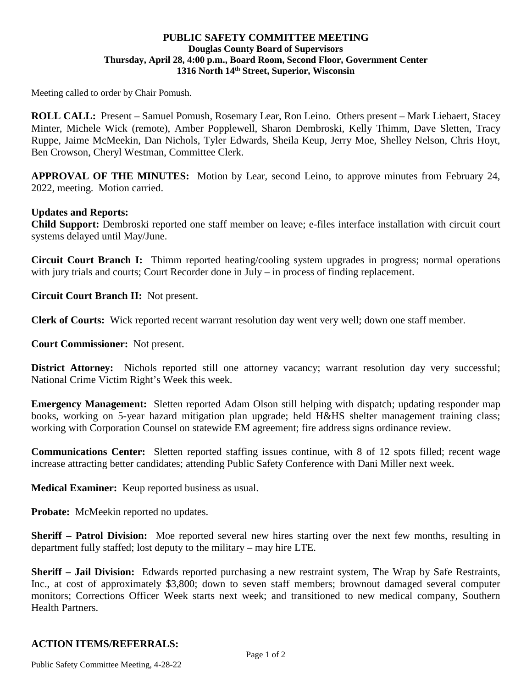### **PUBLIC SAFETY COMMITTEE MEETING Douglas County Board of Supervisors Thursday, April 28, 4:00 p.m., Board Room, Second Floor, Government Center 1316 North 14th Street, Superior, Wisconsin**

Meeting called to order by Chair Pomush.

**ROLL CALL:** Present – Samuel Pomush, Rosemary Lear, Ron Leino. Others present – Mark Liebaert, Stacey Minter, Michele Wick (remote), Amber Popplewell, Sharon Dembroski, Kelly Thimm, Dave Sletten, Tracy Ruppe, Jaime McMeekin, Dan Nichols, Tyler Edwards, Sheila Keup, Jerry Moe, Shelley Nelson, Chris Hoyt, Ben Crowson, Cheryl Westman, Committee Clerk.

**APPROVAL OF THE MINUTES:** Motion by Lear, second Leino, to approve minutes from February 24, 2022, meeting. Motion carried.

#### **Updates and Reports:**

**Child Support:** Dembroski reported one staff member on leave; e-files interface installation with circuit court systems delayed until May/June.

**Circuit Court Branch I:** Thimm reported heating/cooling system upgrades in progress; normal operations with jury trials and courts; Court Recorder done in July – in process of finding replacement.

**Circuit Court Branch II:** Not present.

**Clerk of Courts:** Wick reported recent warrant resolution day went very well; down one staff member.

**Court Commissioner:** Not present.

**District Attorney:** Nichols reported still one attorney vacancy; warrant resolution day very successful; National Crime Victim Right's Week this week.

**Emergency Management:** Sletten reported Adam Olson still helping with dispatch; updating responder map books, working on 5-year hazard mitigation plan upgrade; held H&HS shelter management training class; working with Corporation Counsel on statewide EM agreement; fire address signs ordinance review.

**Communications Center:** Sletten reported staffing issues continue, with 8 of 12 spots filled; recent wage increase attracting better candidates; attending Public Safety Conference with Dani Miller next week.

**Medical Examiner:** Keup reported business as usual.

**Probate:** McMeekin reported no updates.

**Sheriff – Patrol Division:** Moe reported several new hires starting over the next few months, resulting in department fully staffed; lost deputy to the military – may hire LTE.

**Sheriff – Jail Division:** Edwards reported purchasing a new restraint system, The Wrap by Safe Restraints, Inc., at cost of approximately \$3,800; down to seven staff members; brownout damaged several computer monitors; Corrections Officer Week starts next week; and transitioned to new medical company, Southern Health Partners.

### **ACTION ITEMS/REFERRALS:**